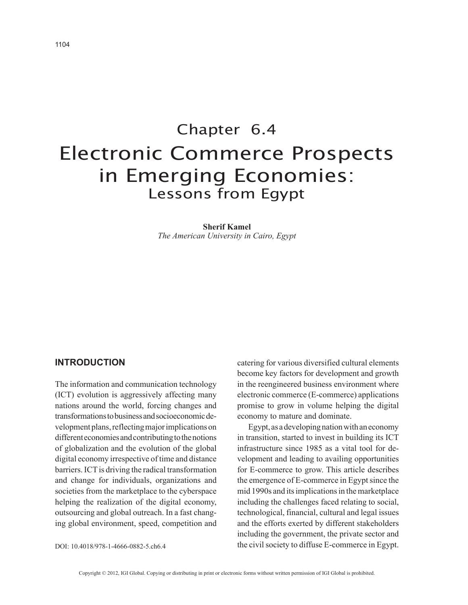# Chapter 6.4 Electronic Commerce Prospects in Emerging Economies: Lessons from Egypt

#### **Sherif Kamel**

*The American University in Cairo, Egypt*

## **INTRODUCTION**

The information and communication technology (ICT) evolution is aggressively affecting many nations around the world, forcing changes and transformations to business and socioeconomic development plans, reflecting major implications on different economies and contributing to the notions of globalization and the evolution of the global digital economy irrespective of time and distance barriers. ICT is driving the radical transformation and change for individuals, organizations and societies from the marketplace to the cyberspace helping the realization of the digital economy, outsourcing and global outreach. In a fast changing global environment, speed, competition and

catering for various diversified cultural elements become key factors for development and growth in the reengineered business environment where electronic commerce (E-commerce) applications promise to grow in volume helping the digital economy to mature and dominate.

Egypt, as a developing nation with an economy in transition, started to invest in building its ICT infrastructure since 1985 as a vital tool for development and leading to availing opportunities for E-commerce to grow. This article describes the emergence of E-commerce in Egypt since the mid 1990s and its implications in the marketplace including the challenges faced relating to social, technological, financial, cultural and legal issues and the efforts exerted by different stakeholders including the government, the private sector and the civil society to diffuse E-commerce in Egypt.

DOI: 10.4018/978-1-4666-0882-5.ch6.4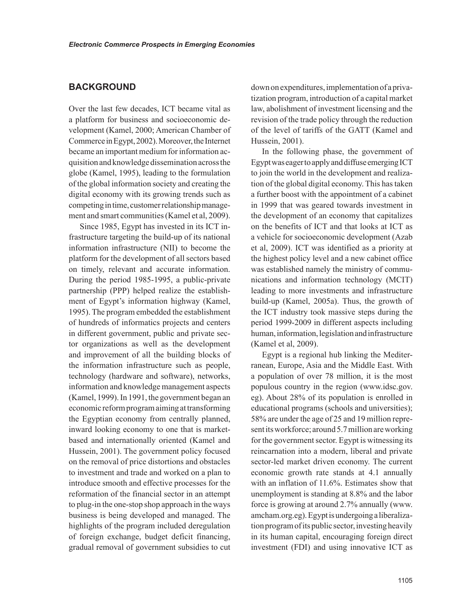## **BACKGROUND**

Over the last few decades, ICT became vital as a platform for business and socioeconomic development (Kamel, 2000; American Chamber of Commerce in Egypt, 2002). Moreover, the Internet became an important medium for information acquisition and knowledge dissemination across the globe (Kamel, 1995), leading to the formulation of the global information society and creating the digital economy with its growing trends such as competing in time, customer relationship management and smart communities (Kamel et al, 2009).

Since 1985, Egypt has invested in its ICT infrastructure targeting the build-up of its national information infrastructure (NII) to become the platform for the development of all sectors based on timely, relevant and accurate information. During the period 1985-1995, a public-private partnership (PPP) helped realize the establishment of Egypt's information highway (Kamel, 1995). The program embedded the establishment of hundreds of informatics projects and centers in different government, public and private sector organizations as well as the development and improvement of all the building blocks of the information infrastructure such as people, technology (hardware and software), networks, information and knowledge management aspects (Kamel, 1999). In 1991, the government began an economic reform program aiming at transforming the Egyptian economy from centrally planned, inward looking economy to one that is marketbased and internationally oriented (Kamel and Hussein, 2001). The government policy focused on the removal of price distortions and obstacles to investment and trade and worked on a plan to introduce smooth and effective processes for the reformation of the financial sector in an attempt to plug-in the one-stop shop approach in the ways business is being developed and managed. The highlights of the program included deregulation of foreign exchange, budget deficit financing, gradual removal of government subsidies to cut

down on expenditures, implementation of a privatization program, introduction of a capital market law, abolishment of investment licensing and the revision of the trade policy through the reduction of the level of tariffs of the GATT (Kamel and Hussein, 2001).

In the following phase, the government of Egypt was eager to apply and diffuse emerging ICT to join the world in the development and realization of the global digital economy. This has taken a further boost with the appointment of a cabinet in 1999 that was geared towards investment in the development of an economy that capitalizes on the benefits of ICT and that looks at ICT as a vehicle for socioeconomic development (Azab et al, 2009). ICT was identified as a priority at the highest policy level and a new cabinet office was established namely the ministry of communications and information technology (MCIT) leading to more investments and infrastructure build-up (Kamel, 2005a). Thus, the growth of the ICT industry took massive steps during the period 1999-2009 in different aspects including human, information, legislation and infrastructure (Kamel et al, 2009).

Egypt is a regional hub linking the Mediterranean, Europe, Asia and the Middle East. With a population of over 78 million, it is the most populous country in the region (www.idsc.gov. eg). About 28% of its population is enrolled in educational programs (schools and universities); 58% are under the age of 25 and 19 million represent its workforce; around 5.7 million are working for the government sector. Egypt is witnessing its reincarnation into a modern, liberal and private sector-led market driven economy. The current economic growth rate stands at 4.1 annually with an inflation of 11.6%. Estimates show that unemployment is standing at 8.8% and the labor force is growing at around 2.7% annually (www. amcham.org.eg). Egypt is undergoing a liberalization program of its public sector, investing heavily in its human capital, encouraging foreign direct investment (FDI) and using innovative ICT as